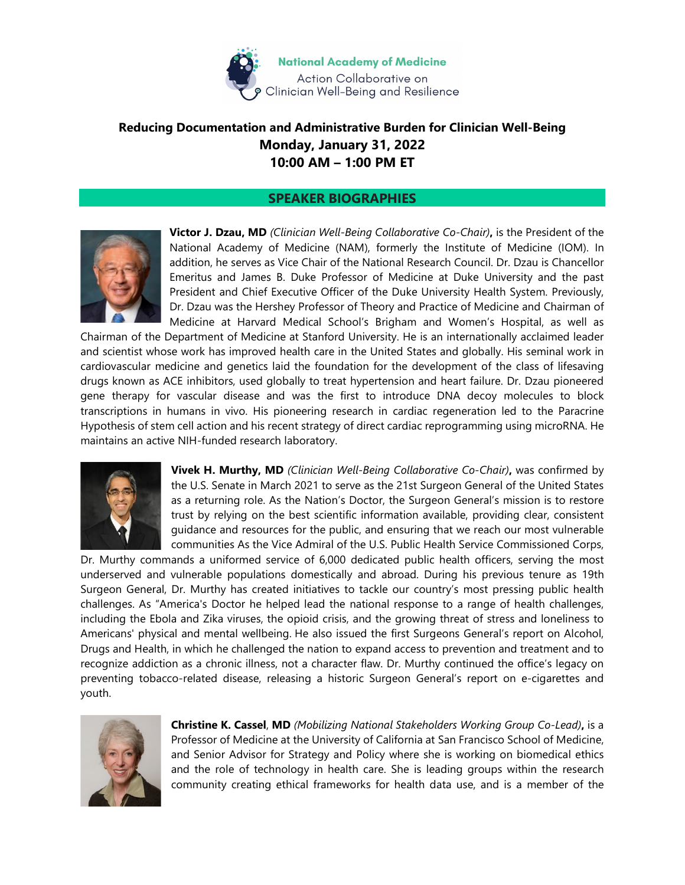

## **Reducing Documentation and Administrative Burden for Clinician Well-Being Monday, January 31, 2022 10:00 AM – 1:00 PM ET**

## **SPEAKER BIOGRAPHIES**



**Victor J. Dzau, MD** *(Clinician Well-Being Collaborative Co-Chair)***,** is the President of the National Academy of Medicine (NAM), formerly the Institute of Medicine (IOM). In addition, he serves as Vice Chair of the National Research Council. Dr. Dzau is Chancellor Emeritus and James B. Duke Professor of Medicine at Duke University and the past President and Chief Executive Officer of the Duke University Health System. Previously, Dr. Dzau was the Hershey Professor of Theory and Practice of Medicine and Chairman of Medicine at Harvard Medical School's Brigham and Women's Hospital, as well as

Chairman of the Department of Medicine at Stanford University. He is an internationally acclaimed leader and scientist whose work has improved health care in the United States and globally. His seminal work in cardiovascular medicine and genetics laid the foundation for the development of the class of lifesaving drugs known as ACE inhibitors, used globally to treat hypertension and heart failure. Dr. Dzau pioneered gene therapy for vascular disease and was the first to introduce DNA decoy molecules to block transcriptions in humans in vivo. His pioneering research in cardiac regeneration led to the Paracrine Hypothesis of stem cell action and his recent strategy of direct cardiac reprogramming using microRNA. He maintains an active NIH-funded research laboratory.



**Vivek H. Murthy, MD** *(Clinician Well-Being Collaborative Co-Chair)***,** was confirmed by the U.S. Senate in March 2021 to serve as the 21st Surgeon General of the United States as a returning role. As the Nation's Doctor, the Surgeon General's mission is to restore trust by relying on the best scientific information available, providing clear, consistent guidance and resources for the public, and ensuring that we reach our most vulnerable communities As the Vice Admiral of the U.S. Public Health Service Commissioned Corps,

Dr. Murthy commands a uniformed service of 6,000 dedicated public health officers, serving the most underserved and vulnerable populations domestically and abroad. During his previous tenure as 19th Surgeon General, Dr. Murthy has created initiatives to tackle our country's most pressing public health challenges. As "America's Doctor he helped lead the national response to a range of health challenges, including the Ebola and Zika viruses, the opioid crisis, and the growing threat of stress and loneliness to Americans' physical and mental wellbeing. He also issued the first Surgeons General's report on Alcohol, Drugs and Health, in which he challenged the nation to expand access to prevention and treatment and to recognize addiction as a chronic illness, not a character flaw. Dr. Murthy continued the office's legacy on preventing tobacco-related disease, releasing a historic Surgeon General's report on e-cigarettes and youth.



**Christine K. Cassel**, **MD** *(Mobilizing National Stakeholders Working Group Co-Lead)***,** is a Professor of Medicine at the University of California at San Francisco School of Medicine, and Senior Advisor for Strategy and Policy where she is working on biomedical ethics and the role of technology in health care. She is leading groups within the research community creating ethical frameworks for health data use, and is a member of the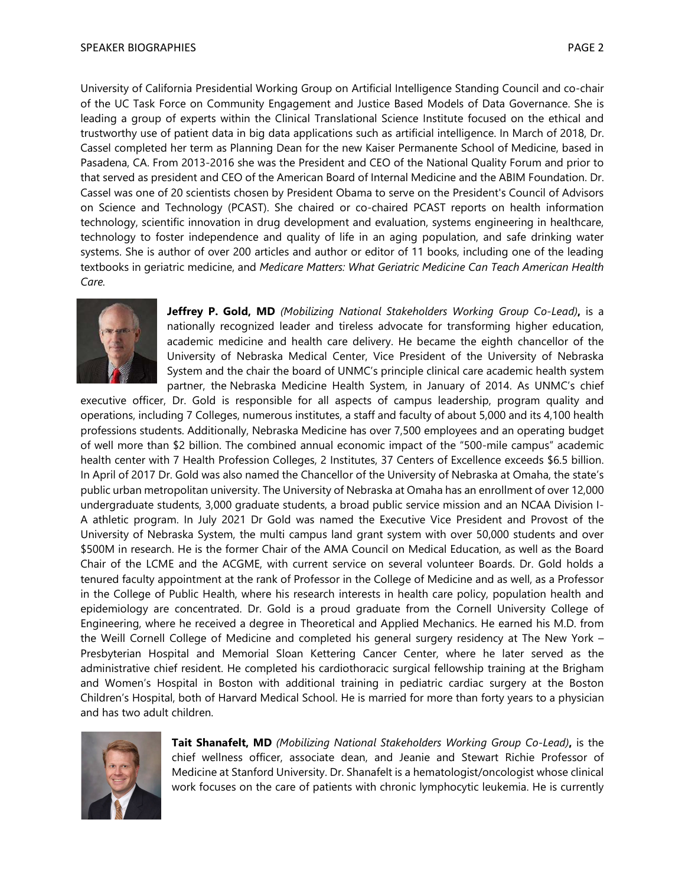University of California Presidential Working Group on Artificial Intelligence Standing Council and co-chair of the UC Task Force on Community Engagement and Justice Based Models of Data Governance. She is leading a group of experts within the Clinical Translational Science Institute focused on the ethical and trustworthy use of patient data in big data applications such as artificial intelligence. In March of 2018, Dr. Cassel completed her term as Planning Dean for the new Kaiser Permanente School of Medicine, based in Pasadena, CA. From 2013-2016 she was the President and CEO of the National Quality Forum and prior to that served as president and CEO of the American Board of Internal Medicine and the ABIM Foundation. Dr. Cassel was one of 20 scientists chosen by President Obama to serve on the President's Council of Advisors on Science and Technology (PCAST). She chaired or co-chaired PCAST reports on health information technology, scientific innovation in drug development and evaluation, systems engineering in healthcare, technology to foster independence and quality of life in an aging population, and safe drinking water systems. She is author of over 200 articles and author or editor of 11 books, including one of the leading textbooks in geriatric medicine, and *Medicare Matters: What Geriatric Medicine Can Teach American Health Care.*



**Jeffrey P. Gold, MD** *(Mobilizing National Stakeholders Working Group Co-Lead)***,** is a nationally recognized leader and tireless advocate for transforming higher education, academic medicine and health care delivery. He became the eighth chancellor of the University of Nebraska Medical Center, Vice President of the University of Nebraska System and the chair the board of UNMC's principle clinical care academic health system partner, the Nebraska Medicine Health System, in January of 2014. As UNMC's chief

executive officer, Dr. Gold is responsible for all aspects of campus leadership, program quality and operations, including 7 Colleges, numerous institutes, a staff and faculty of about 5,000 and its 4,100 health professions students. Additionally, Nebraska Medicine has over 7,500 employees and an operating budget of well more than \$2 billion. The combined annual economic impact of the "500-mile campus" academic health center with 7 Health Profession Colleges, 2 Institutes, 37 Centers of Excellence exceeds \$6.5 billion. In April of 2017 Dr. Gold was also named the Chancellor of the University of Nebraska at Omaha, the state's public urban metropolitan university. The University of Nebraska at Omaha has an enrollment of over 12,000 undergraduate students, 3,000 graduate students, a broad public service mission and an NCAA Division I-A athletic program. In July 2021 Dr Gold was named the Executive Vice President and Provost of the University of Nebraska System, the multi campus land grant system with over 50,000 students and over \$500M in research. He is the former Chair of the AMA Council on Medical Education, as well as the Board Chair of the LCME and the ACGME, with current service on several volunteer Boards. Dr. Gold holds a tenured faculty appointment at the rank of Professor in the College of Medicine and as well, as a Professor in the College of Public Health, where his research interests in health care policy, population health and epidemiology are concentrated. Dr. Gold is a proud graduate from the Cornell University College of Engineering, where he received a degree in Theoretical and Applied Mechanics. He earned his M.D. from the Weill Cornell College of Medicine and completed his general surgery residency at The New York – Presbyterian Hospital and Memorial Sloan Kettering Cancer Center, where he later served as the administrative chief resident. He completed his cardiothoracic surgical fellowship training at the Brigham and Women's Hospital in Boston with additional training in pediatric cardiac surgery at the Boston Children's Hospital, both of Harvard Medical School. He is married for more than forty years to a physician and has two adult children.



**Tait Shanafelt, MD** *(Mobilizing National Stakeholders Working Group Co-Lead)***,** is the chief wellness officer, associate dean, and Jeanie and Stewart Richie Professor of Medicine at Stanford University. Dr. Shanafelt is a hematologist/oncologist whose clinical work focuses on the care of patients with chronic lymphocytic leukemia. He is currently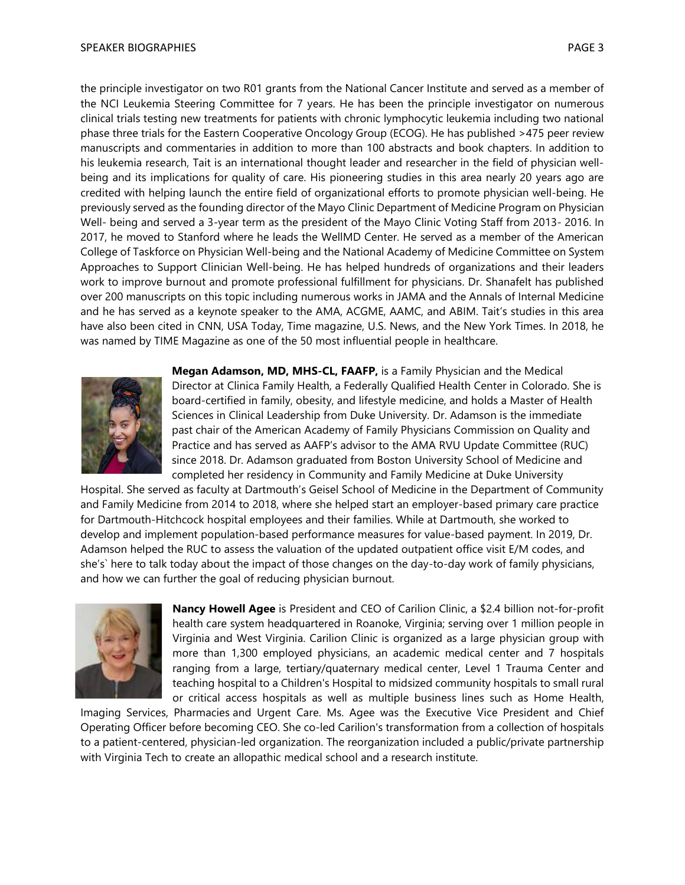the principle investigator on two R01 grants from the National Cancer Institute and served as a member of the NCI Leukemia Steering Committee for 7 years. He has been the principle investigator on numerous clinical trials testing new treatments for patients with chronic lymphocytic leukemia including two national phase three trials for the Eastern Cooperative Oncology Group (ECOG). He has published >475 peer review manuscripts and commentaries in addition to more than 100 abstracts and book chapters. In addition to his leukemia research, Tait is an international thought leader and researcher in the field of physician wellbeing and its implications for quality of care. His pioneering studies in this area nearly 20 years ago are credited with helping launch the entire field of organizational efforts to promote physician well-being. He previously served as the founding director of the Mayo Clinic Department of Medicine Program on Physician Well- being and served a 3-year term as the president of the Mayo Clinic Voting Staff from 2013- 2016. In 2017, he moved to Stanford where he leads the WellMD Center. He served as a member of the American College of Taskforce on Physician Well-being and the National Academy of Medicine Committee on System Approaches to Support Clinician Well-being. He has helped hundreds of organizations and their leaders work to improve burnout and promote professional fulfillment for physicians. Dr. Shanafelt has published over 200 manuscripts on this topic including numerous works in JAMA and the Annals of Internal Medicine and he has served as a keynote speaker to the AMA, ACGME, AAMC, and ABIM. Tait's studies in this area have also been cited in CNN, USA Today, Time magazine, U.S. News, and the New York Times. In 2018, he was named by TIME Magazine as one of the 50 most influential people in healthcare.



**Megan Adamson, MD, MHS-CL, FAAFP,** is a Family Physician and the Medical Director at Clinica Family Health, a Federally Qualified Health Center in Colorado. She is board-certified in family, obesity, and lifestyle medicine, and holds a Master of Health Sciences in Clinical Leadership from Duke University. Dr. Adamson is the immediate past chair of the American Academy of Family Physicians Commission on Quality and Practice and has served as AAFP's advisor to the AMA RVU Update Committee (RUC) since 2018. Dr. Adamson graduated from Boston University School of Medicine and completed her residency in Community and Family Medicine at Duke University

Hospital. She served as faculty at Dartmouth's Geisel School of Medicine in the Department of Community and Family Medicine from 2014 to 2018, where she helped start an employer-based primary care practice for Dartmouth-Hitchcock hospital employees and their families. While at Dartmouth, she worked to develop and implement population-based performance measures for value-based payment. In 2019, Dr. Adamson helped the RUC to assess the valuation of the updated outpatient office visit E/M codes, and she's` here to talk today about the impact of those changes on the day-to-day work of family physicians, and how we can further the goal of reducing physician burnout.



**Nancy Howell Agee** is President and CEO of Carilion Clinic, a \$2.4 billion not-for-profit health care system headquartered in Roanoke, Virginia; serving over 1 million people in Virginia and West Virginia. Carilion Clinic is organized as a large physician group with more than 1,300 employed physicians, an academic medical center and 7 hospitals ranging from a large, tertiary/quaternary medical center, Level 1 Trauma Center and teaching hospital to a Children's Hospital to midsized community hospitals to small rural or critical access hospitals as well as multiple business lines such as Home Health,

Imaging Services, Pharmacies and Urgent Care. Ms. Agee was the Executive Vice President and Chief Operating Officer before becoming CEO. She co-led Carilion's transformation from a collection of hospitals to a patient-centered, physician-led organization. The reorganization included a public/private partnership with Virginia Tech to create an allopathic medical school and a research institute.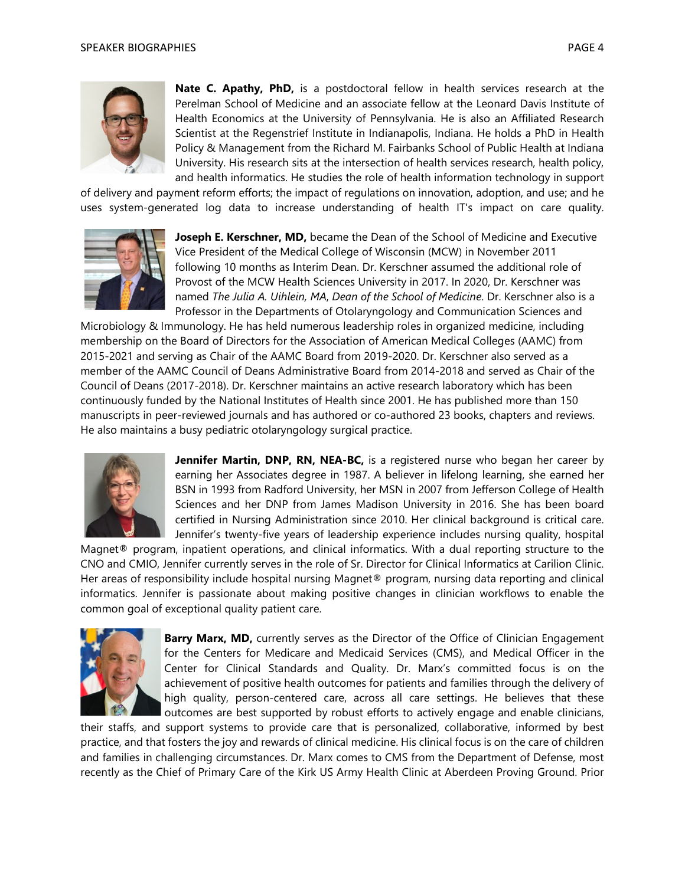

**Nate C. Apathy, PhD,** is a postdoctoral fellow in health services research at the Perelman School of Medicine and an associate fellow at the Leonard Davis Institute of Health Economics at the University of Pennsylvania. He is also an Affiliated Research Scientist at the Regenstrief Institute in Indianapolis, Indiana. He holds a PhD in Health Policy & Management from the Richard M. Fairbanks School of Public Health at Indiana University. His research sits at the intersection of health services research, health policy, and health informatics. He studies the role of health information technology in support

of delivery and payment reform efforts; the impact of regulations on innovation, adoption, and use; and he uses system-generated log data to increase understanding of health IT's impact on care quality.



**Joseph E. Kerschner, MD,** became the Dean of the School of Medicine and Executive Vice President of the Medical College of Wisconsin (MCW) in November 2011 following 10 months as Interim Dean. Dr. Kerschner assumed the additional role of Provost of the MCW Health Sciences University in 2017. In 2020, Dr. Kerschner was named *The Julia A. Uihlein, MA*, *Dean of the School of Medicine*. Dr. Kerschner also is a Professor in the Departments of Otolaryngology and Communication Sciences and

Microbiology & Immunology. He has held numerous leadership roles in organized medicine, including membership on the Board of Directors for the Association of American Medical Colleges (AAMC) from 2015-2021 and serving as Chair of the AAMC Board from 2019-2020. Dr. Kerschner also served as a member of the AAMC Council of Deans Administrative Board from 2014-2018 and served as Chair of the Council of Deans (2017-2018). Dr. Kerschner maintains an active research laboratory which has been continuously funded by the National Institutes of Health since 2001. He has published more than 150 manuscripts in peer-reviewed journals and has authored or co-authored 23 books, chapters and reviews. He also maintains a busy pediatric otolaryngology surgical practice.



**Jennifer Martin, DNP, RN, NEA-BC,** is a registered nurse who began her career by earning her Associates degree in 1987. A believer in lifelong learning, she earned her BSN in 1993 from Radford University, her MSN in 2007 from Jefferson College of Health Sciences and her DNP from James Madison University in 2016. She has been board certified in Nursing Administration since 2010. Her clinical background is critical care. Jennifer's twenty-five years of leadership experience includes nursing quality, hospital

Magnet® program, inpatient operations, and clinical informatics. With a dual reporting structure to the CNO and CMIO, Jennifer currently serves in the role of Sr. Director for Clinical Informatics at Carilion Clinic. Her areas of responsibility include hospital nursing Magnet® program, nursing data reporting and clinical informatics. Jennifer is passionate about making positive changes in clinician workflows to enable the common goal of exceptional quality patient care.



**Barry Marx, MD,** currently serves as the Director of the Office of Clinician Engagement for the Centers for Medicare and Medicaid Services (CMS), and Medical Officer in the Center for Clinical Standards and Quality. Dr. Marx's committed focus is on the achievement of positive health outcomes for patients and families through the delivery of high quality, person-centered care, across all care settings. He believes that these outcomes are best supported by robust efforts to actively engage and enable clinicians,

their staffs, and support systems to provide care that is personalized, collaborative, informed by best practice, and that fosters the joy and rewards of clinical medicine. His clinical focus is on the care of children and families in challenging circumstances. Dr. Marx comes to CMS from the Department of Defense, most recently as the Chief of Primary Care of the Kirk US Army Health Clinic at Aberdeen Proving Ground. Prior